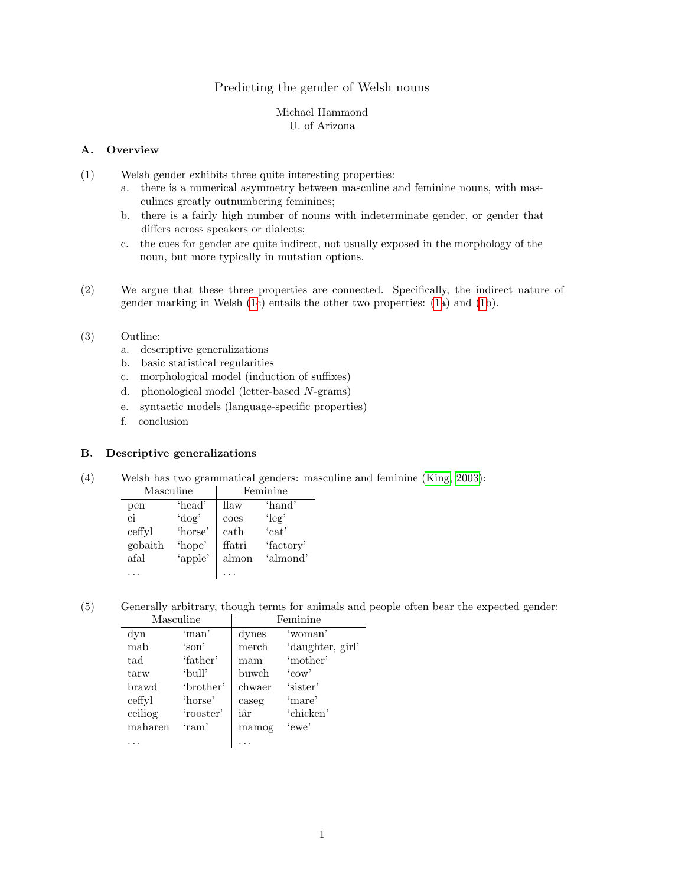# Predicting the gender of Welsh nouns

#### Michael Hammond U. of Arizona

## A. Overview

- <span id="page-0-0"></span>(1) Welsh gender exhibits three quite interesting properties:
	- a. there is a numerical asymmetry between masculine and feminine nouns, with masculines greatly outnumbering feminines;
	- b. there is a fairly high number of nouns with indeterminate gender, or gender that differs across speakers or dialects;
	- c. the cues for gender are quite indirect, not usually exposed in the morphology of the noun, but more typically in mutation options.
- (2) We argue that these three properties are connected. Specifically, the indirect nature of gender marking in Welsh [\(1c](#page-0-0)) entails the other two properties: [\(1a](#page-0-0)) and [\(1b](#page-0-0)).
- (3) Outline:
	- a. descriptive generalizations
	- b. basic statistical regularities
	- c. morphological model (induction of suffixes)
	- d. phonological model (letter-based N-grams)
	- e. syntactic models (language-specific properties)
	- f. conclusion

# B. Descriptive generalizations

(4) Welsh has two grammatical genders: masculine and feminine [\(King, 2003\)](#page-6-0):

| Masculine |          | Feminine              |           |
|-----------|----------|-----------------------|-----------|
| pen       | 'head'   | llaw                  | 'hand'    |
| ci        | $'$ dog' | coes                  | $'$ leg'  |
| ceffyl    | 'horse'  | $\operatorname{cath}$ | 'cat'     |
| gobaith   | 'hope'   | ffatri                | 'factory' |
| afal      | 'apple'  | almon                 | 'almond'  |
|           |          |                       |           |

(5) Generally arbitrary, though terms for animals and people often bear the expected gender: Masculine Feminine

| niaseann  |           | .      |                  |
|-----------|-----------|--------|------------------|
| $\rm dyn$ | 'man'     | dynes  | 'woman'          |
| mab       | 'son'     | merch  | 'daughter, girl' |
| tad       | 'father'  | mam    | 'mother'         |
| tarw      | 'bull'    | buwch  | 'cov'            |
| brawd     | 'brother' | chwaer | 'sister'         |
| ceffyl    | 'horse'   | caseg  | 'mare'           |
| ceiliog   | 'rooster' | iâr    | 'chicken'        |
| maharen   | 'ram'     | mamog  | 'ewe'            |
|           |           |        |                  |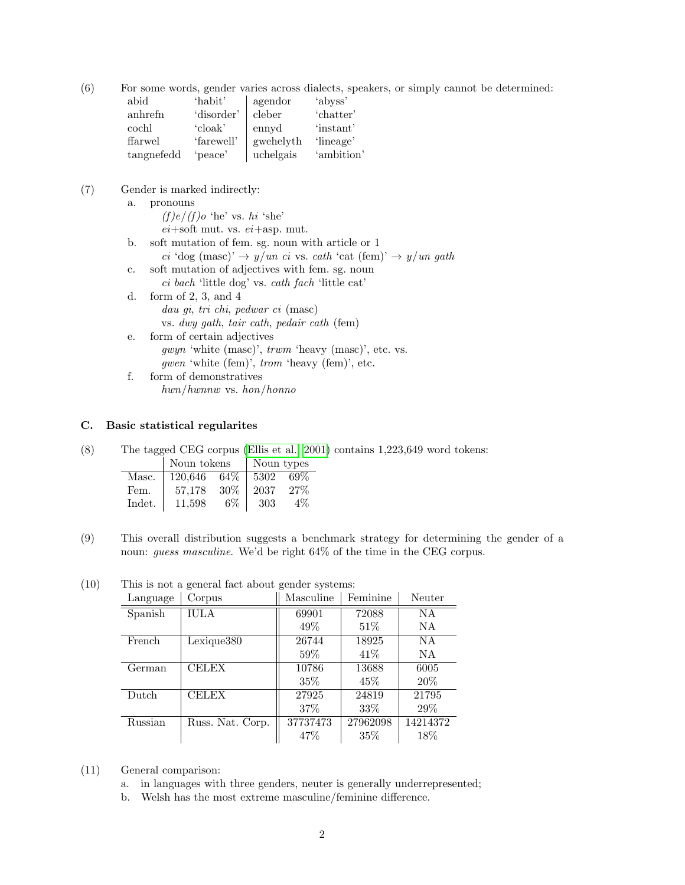(6) For some words, gender varies across dialects, speakers, or simply cannot be determined:

| abid       | 'habit'    | agendor   | 'abyss'    |
|------------|------------|-----------|------------|
| anhrefn    | 'disorder' | cleber    | 'chatter'  |
| cochl      | 'cloak'    | ennyd     | 'instant'  |
| ffarwel    | 'farewell' | gwehelyth | 'lineage'  |
| tangnefedd | 'peace'    | uchelgais | 'ambition' |

- (7) Gender is marked indirectly:
	- a. pronouns
		- $(f)e/(f)o$  'he' vs. hi 'she'  $ei+soft$  mut. vs.  $ei+asp$ . mut.
	- b. soft mutation of fem. sg. noun with article or 1 ci 'dog (masc)'  $\rightarrow$  y/un ci vs. cath 'cat (fem)'  $\rightarrow$  y/un gath
	- c. soft mutation of adjectives with fem. sg. noun
		- ci bach 'little dog' vs. cath fach 'little cat'
	- d. form of 2, 3, and 4 dau gi, tri chi, pedwar ci (masc) vs. dwy gath, tair cath, pedair cath (fem)
	- e. form of certain adjectives  $gwyn$  'white  $(masc)$ ',  $trwm$  'heavy  $(masc)$ ', etc. vs. gwen 'white (fem)', trom 'heavy (fem)', etc.
	- f. form of demonstratives hwn/hwnnw vs. hon/honno

#### C. Basic statistical regularites

(8) The tagged CEG corpus [\(Ellis et al., 2001\)](#page-6-1) contains 1,223,649 word tokens: | Noun tokens | Noun types

|        | - 100-11 00110110 |        |      |       |
|--------|-------------------|--------|------|-------|
| Masc.  | 120.646           | 64%    | 5302 | 69%   |
| Fem.   | 57.178            | $30\%$ | 2037 | 27%   |
| Indet. | 11.598            | $6\%$  | 303  | $4\%$ |

(9) This overall distribution suggests a benchmark strategy for determining the gender of a noun: guess masculine. We'd be right 64% of the time in the CEG corpus.

| Language | Corpus           | Masculine | Feminine | Neuter   |
|----------|------------------|-----------|----------|----------|
| Spanish  | <b>IULA</b>      | 69901     | 72088    | NA       |
|          |                  | 49\%      | $51\%$   | NA.      |
| French   | Lexique380       | 26744     | 18925    | NA       |
|          |                  | 59%       | 41\%     | NA.      |
| German   | <b>CELEX</b>     | 10786     | 13688    | 6005     |
|          |                  | $35\%$    | 45%      | 20%      |
| Dutch    | <b>CELEX</b>     | 27925     | 24819    | 21795    |
|          |                  | 37\%      | 33\%     | 29\%     |
| Russian  | Russ. Nat. Corp. | 37737473  | 27962098 | 14214372 |
|          |                  | 47\%      | 35\%     | 18%      |

(10) This is not a general fact about gender systems:

- (11) General comparison:
	- a. in languages with three genders, neuter is generally underrepresented;
	- b. Welsh has the most extreme masculine/feminine difference.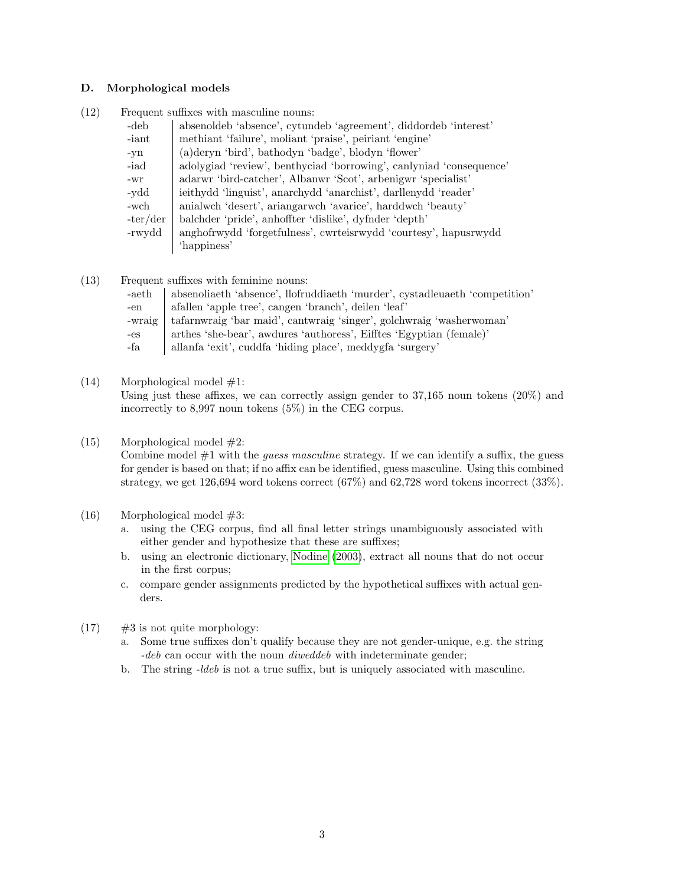#### D. Morphological models

(12) Frequent suffixes with masculine nouns:

| -deb       | absenoideb 'absence', cytundeb 'agreement', diddordeb 'interest'    |
|------------|---------------------------------------------------------------------|
| -iant      | methiant 'failure', moliant 'praise', peiriant 'engine'             |
| -yn        | (a) deryn 'bird', bathodyn 'badge', blodyn 'flower'                 |
| -iad       | adolygiad 'review', benthyciad 'borrowing', canlyniad 'consequence' |
| -wr        | adarwr 'bird-catcher', Albanwr 'Scot', arbenigwr 'specialist'       |
| -vdd       | ieithydd 'linguist', anarchydd 'anarchist', darllenydd 'reader'     |
| -wch       | anialwch 'desert', ariangarwch 'avarice', harddwch 'beauty'         |
| $-ter/der$ | balchder 'pride', anhoffter 'dislike', dyfnder 'depth'              |
| -rwydd     | anghofrwydd 'forgetfulness', cwrteisrwydd 'courtesy', hapusrwydd    |
|            | 'happiness'                                                         |

(13) Frequent suffixes with feminine nouns:

| -aeth  | absenoliaeth 'absence', llofruddiaeth 'murder', cystadleuaeth 'competition' |
|--------|-----------------------------------------------------------------------------|
| -en    | afallen 'apple tree', cangen 'branch', deilen 'leaf'                        |
| -wraig | tafarnwraig 'bar maid', cantwraig 'singer', golchwraig 'washerwoman'        |
| $-es$  | arthes 'she-bear', awdures 'authoress', Eifftes 'Egyptian (female)'         |
| -fa    | allanfa 'exit', cuddfa 'hiding place', meddygfa 'surgery'                   |

 $(14)$  Morphological model  $\#1$ :

Using just these affixes, we can correctly assign gender to  $37,165$  noun tokens  $(20\%)$  and incorrectly to 8,997 noun tokens (5%) in the CEG corpus.

# (15) Morphological model #2:

Combine model  $#1$  with the *guess masculine* strategy. If we can identify a suffix, the guess for gender is based on that; if no affix can be identified, guess masculine. Using this combined strategy, we get 126,694 word tokens correct (67%) and 62,728 word tokens incorrect (33%).

# (16) Morphological model #3:

- a. using the CEG corpus, find all final letter strings unambiguously associated with either gender and hypothesize that these are suffixes;
- b. using an electronic dictionary, [Nodine](#page-6-2) [\(2003\)](#page-6-2), extract all nouns that do not occur in the first corpus;
- c. compare gender assignments predicted by the hypothetical suffixes with actual genders.
- $(17)$  #3 is not quite morphology:
	- a. Some true suffixes don't qualify because they are not gender-unique, e.g. the string -deb can occur with the noun *diweddeb* with indeterminate gender;
	- b. The string -ldeb is not a true suffix, but is uniquely associated with masculine.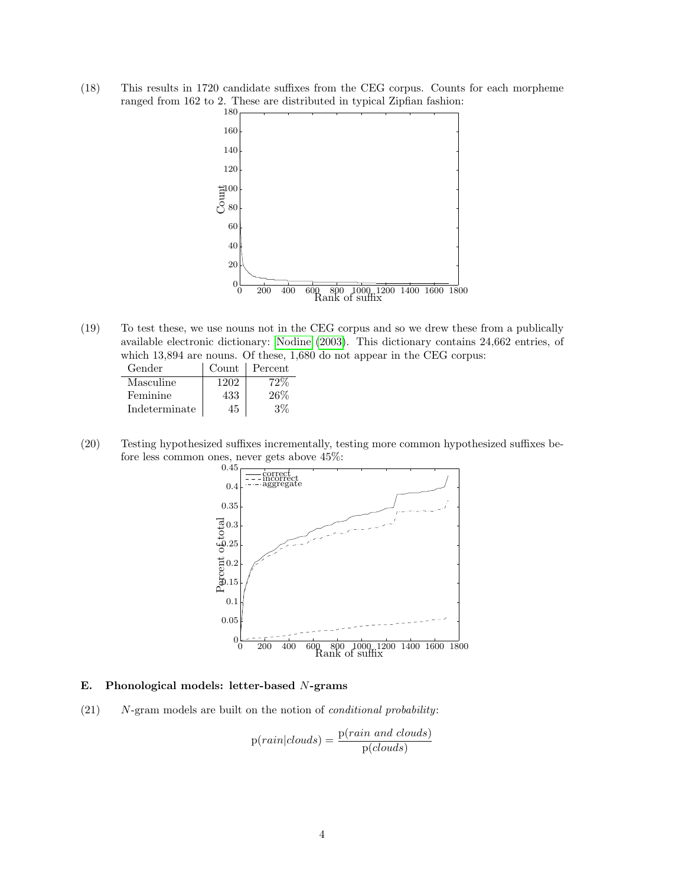(18) This results in 1720 candidate suffixes from the CEG corpus. Counts for each morpheme ranged from 162 to 2. These are distributed in typical Zipfian fashion:



(19) To test these, we use nouns not in the CEG corpus and so we drew these from a publically available electronic dictionary: [Nodine](#page-6-2) [\(2003\)](#page-6-2). This dictionary contains 24,662 entries, of which 13,894 are nouns. Of these, 1,680 do not appear in the CEG corpus:

| Gender        | Count | Percent |
|---------------|-------|---------|
| Masculine     | 1202  | $72\%$  |
| Feminine      | 433   | 26%     |
| Indeterminate | 45    | $3\%$   |

(20) Testing hypothesized suffixes incrementally, testing more common hypothesized suffixes before less common ones, never gets above 45%:



#### E. Phonological models: letter-based N-grams

 $(21)$  N-gram models are built on the notion of *conditional probability*:

$$
p(rain|clouds) = \frac{p(rain \ and \ clouds)}{p(clouds)}
$$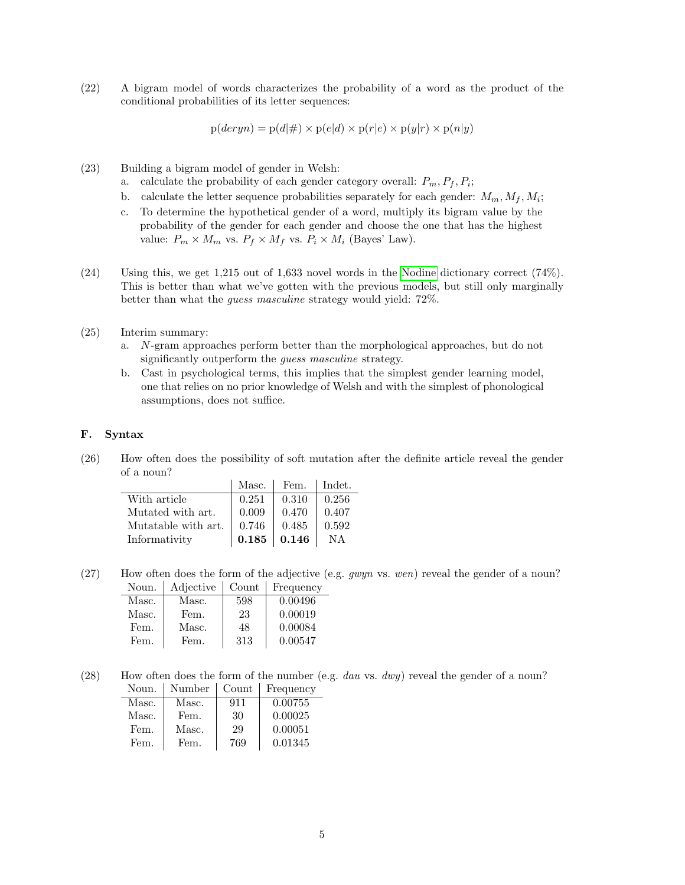(22) A bigram model of words characterizes the probability of a word as the product of the conditional probabilities of its letter sequences:

 $p(deryn) = p(d|\#) \times p(e|d) \times p(r|e) \times p(y|r) \times p(n|y)$ 

(23) Building a bigram model of gender in Welsh:

- a. calculate the probability of each gender category overall:  $P_m, P_f, P_i$ ;
- b. calculate the letter sequence probabilities separately for each gender:  $M_m, M_f, M_i$ ;
- c. To determine the hypothetical gender of a word, multiply its bigram value by the probability of the gender for each gender and choose the one that has the highest value:  $P_m \times M_m$  vs.  $P_f \times M_f$  vs.  $P_i \times M_i$  (Bayes' Law).
- (24) Using this, we get 1,215 out of 1,633 novel words in the [Nodine](#page-6-2) dictionary correct (74%). This is better than what we've gotten with the previous models, but still only marginally better than what the guess masculine strategy would yield: 72%.
- (25) Interim summary:
	- a. N-gram approaches perform better than the morphological approaches, but do not significantly outperform the *guess masculine* strategy.
	- b. Cast in psychological terms, this implies that the simplest gender learning model, one that relies on no prior knowledge of Welsh and with the simplest of phonological assumptions, does not suffice.

#### F. Syntax

(26) How often does the possibility of soft mutation after the definite article reveal the gender of a noun?

|                     | Masc. | Fem.        | Indet. |
|---------------------|-------|-------------|--------|
| With article        | 0.251 | 0.310       | 0.256  |
| Mutated with art.   | 0.009 | 0.470       | 0.407  |
| Mutatable with art. | 0.746 | 0.485       | 0.592  |
| Informativity       | 0.185 | $\,0.146\,$ | NA     |

(27) How often does the form of the adjective (e.g.  $gwyn$  vs. wen) reveal the gender of a noun? Noun. | Adjective | Count | Frequency

| Masc. | Masc. | 598 | 0.00496 |
|-------|-------|-----|---------|
| Masc. | Fem.  | 23  | 0.00019 |
| Fem.  | Masc. | 48  | 0.00084 |
| Fem.  | Fem.  | 313 | 0.00547 |

(28) How often does the form of the number (e.g. dau vs. dwy) reveal the gender of a noun? Noun. Number Count Frequency

|       |            | 11 culture |
|-------|------------|------------|
| Masc. | 911        | 0.00755    |
| Fem.  | 30         | 0.00025    |
| Masc. | 29         | 0.00051    |
| Fem.  | 769        | 0.01345    |
|       | 11 U.L.U.V | v∪un       |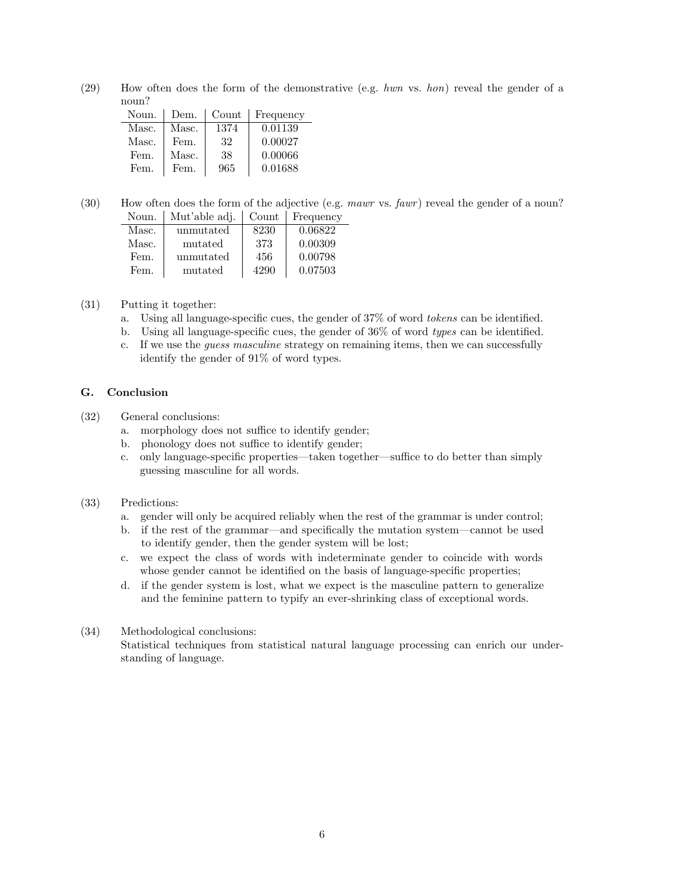(29) How often does the form of the demonstrative (e.g. hwn vs. hon) reveal the gender of a noun?

| Noun. | Dem.  | Count | Frequency |
|-------|-------|-------|-----------|
| Masc. | Masc. | 1374  | 0.01139   |
| Masc. | Fem.  | 32    | 0.00027   |
| Fem.  | Masc. | 38    | 0.00066   |
| Fem.  | Fem.  | 965   | 0.01688   |

(30) How often does the form of the adjective (e.g. mawr vs. fawr) reveal the gender of a noun? Noun. Mut'able adj. Count Frequency

| we asked and the activity | <b>COULL</b> | <b>LICULCIIC</b> |
|---------------------------|--------------|------------------|
| unmutated                 | 8230         | 0.06822          |
| mutated                   | 373          | 0.00309          |
| unmutated                 | 456          | 0.00798          |
| mutated                   | 4290         | 0.07503          |
|                           |              |                  |

- (31) Putting it together:
	- a. Using all language-specific cues, the gender of 37% of word tokens can be identified.
	- b. Using all language-specific cues, the gender of 36% of word types can be identified.
	- c. If we use the guess masculine strategy on remaining items, then we can successfully identify the gender of 91% of word types.

# G. Conclusion

- (32) General conclusions:
	- a. morphology does not suffice to identify gender;
	- b. phonology does not suffice to identify gender;
	- c. only language-specific properties—taken together—suffice to do better than simply guessing masculine for all words.

## (33) Predictions:

- a. gender will only be acquired reliably when the rest of the grammar is under control;
- b. if the rest of the grammar—and specifically the mutation system—cannot be used to identify gender, then the gender system will be lost;
- c. we expect the class of words with indeterminate gender to coincide with words whose gender cannot be identified on the basis of language-specific properties;
- d. if the gender system is lost, what we expect is the masculine pattern to generalize and the feminine pattern to typify an ever-shrinking class of exceptional words.

#### (34) Methodological conclusions:

Statistical techniques from statistical natural language processing can enrich our understanding of language.